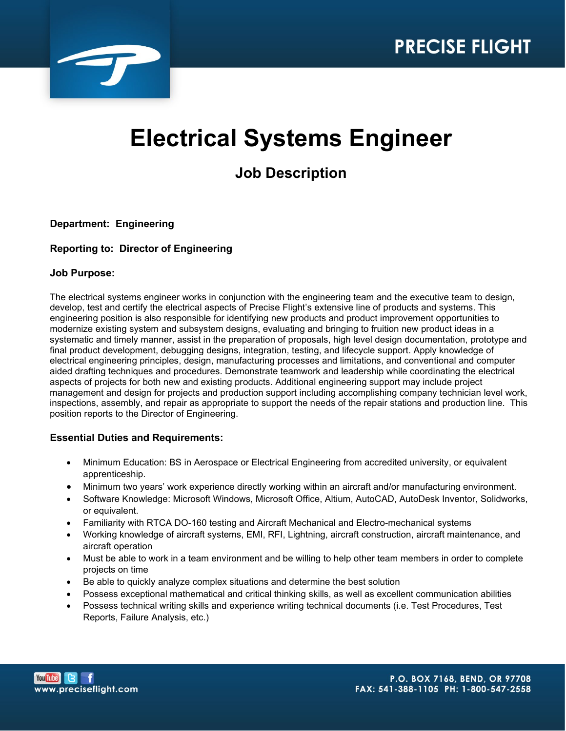

# **Electrical Systems Engineer**

# **Job Description**

## **Department: Engineering**

### **Reporting to: Director of Engineering**

#### **Job Purpose:**

The electrical systems engineer works in conjunction with the engineering team and the executive team to design, develop, test and certify the electrical aspects of Precise Flight's extensive line of products and systems. This engineering position is also responsible for identifying new products and product improvement opportunities to modernize existing system and subsystem designs, evaluating and bringing to fruition new product ideas in a systematic and timely manner, assist in the preparation of proposals, high level design documentation, prototype and final product development, debugging designs, integration, testing, and lifecycle support. Apply knowledge of electrical engineering principles, design, manufacturing processes and limitations, and conventional and computer aided drafting techniques and procedures. Demonstrate teamwork and leadership while coordinating the electrical aspects of projects for both new and existing products. Additional engineering support may include project management and design for projects and production support including accomplishing company technician level work, inspections, assembly, and repair as appropriate to support the needs of the repair stations and production line. This position reports to the Director of Engineering.

#### **Essential Duties and Requirements:**

- Minimum Education: BS in Aerospace or Electrical Engineering from accredited university, or equivalent apprenticeship.
- Minimum two years' work experience directly working within an aircraft and/or manufacturing environment.
- Software Knowledge: Microsoft Windows, Microsoft Office, Altium, AutoCAD, AutoDesk Inventor, Solidworks, or equivalent.
- Familiarity with RTCA DO-160 testing and Aircraft Mechanical and Electro-mechanical systems
- Working knowledge of aircraft systems, EMI, RFI, Lightning, aircraft construction, aircraft maintenance, and aircraft operation
- Must be able to work in a team environment and be willing to help other team members in order to complete projects on time
- Be able to quickly analyze complex situations and determine the best solution
- Possess exceptional mathematical and critical thinking skills, as well as excellent communication abilities
- Possess technical writing skills and experience writing technical documents (i.e. Test Procedures, Test Reports, Failure Analysis, etc.)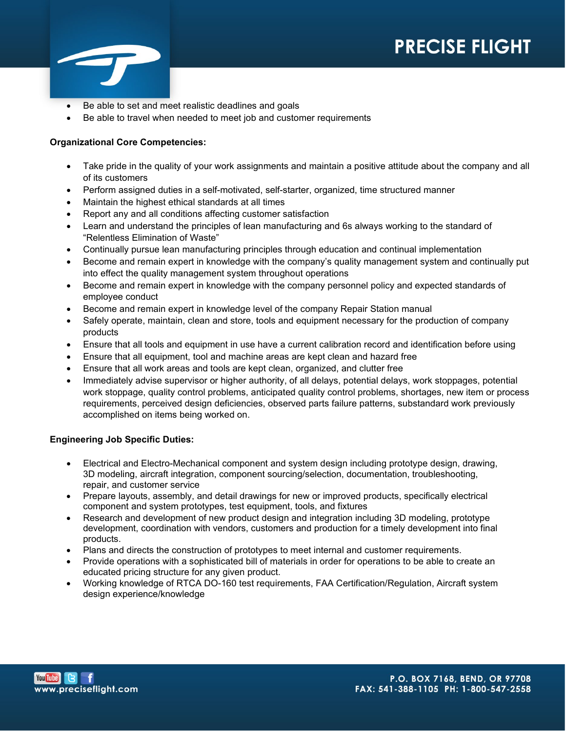

- Be able to set and meet realistic deadlines and goals
- Be able to travel when needed to meet job and customer requirements

#### **Organizational Core Competencies:**

- Take pride in the quality of your work assignments and maintain a positive attitude about the company and all of its customers
- Perform assigned duties in a self-motivated, self-starter, organized, time structured manner
- Maintain the highest ethical standards at all times
- Report any and all conditions affecting customer satisfaction
- Learn and understand the principles of lean manufacturing and 6s always working to the standard of "Relentless Elimination of Waste"
- Continually pursue lean manufacturing principles through education and continual implementation
- Become and remain expert in knowledge with the company's quality management system and continually put into effect the quality management system throughout operations
- Become and remain expert in knowledge with the company personnel policy and expected standards of employee conduct
- Become and remain expert in knowledge level of the company Repair Station manual
- Safely operate, maintain, clean and store, tools and equipment necessary for the production of company products
- Ensure that all tools and equipment in use have a current calibration record and identification before using
- Ensure that all equipment, tool and machine areas are kept clean and hazard free
- Ensure that all work areas and tools are kept clean, organized, and clutter free
- Immediately advise supervisor or higher authority, of all delays, potential delays, work stoppages, potential work stoppage, quality control problems, anticipated quality control problems, shortages, new item or process requirements, perceived design deficiencies, observed parts failure patterns, substandard work previously accomplished on items being worked on.

#### **Engineering Job Specific Duties:**

- Electrical and Electro-Mechanical component and system design including prototype design, drawing, 3D modeling, aircraft integration, component sourcing/selection, documentation, troubleshooting, repair, and customer service
- Prepare layouts, assembly, and detail drawings for new or improved products, specifically electrical component and system prototypes, test equipment, tools, and fixtures
- Research and development of new product design and integration including 3D modeling, prototype development, coordination with vendors, customers and production for a timely development into final products.
- Plans and directs the construction of prototypes to meet internal and customer requirements.
- Provide operations with a sophisticated bill of materials in order for operations to be able to create an educated pricing structure for any given product.
- Working knowledge of RTCA DO-160 test requirements, FAA Certification/Regulation, Aircraft system design experience/knowledge